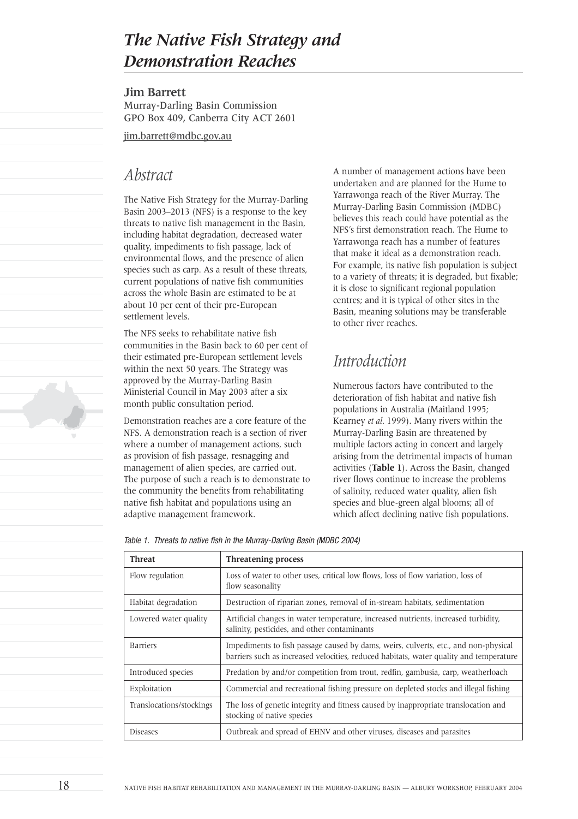# *The Native Fish Strategy and Demonstration Reaches*

**Jim Barrett**

Murray-Darling Basin Commission GPO Box 409, Canberra City ACT 2601

jim.barrett@mdbc.gov.au

### *Abstract*

The Native Fish Strategy for the Murray-Darling Basin 2003–2013 (NFS) is a response to the key threats to native fish management in the Basin, including habitat degradation, decreased water quality, impediments to fish passage, lack of environmental flows, and the presence of alien species such as carp. As a result of these threats, current populations of native fish communities across the whole Basin are estimated to be at about 10 per cent of their pre-European settlement levels.

The NFS seeks to rehabilitate native fish communities in the Basin back to 60 per cent of their estimated pre-European settlement levels within the next 50 years. The Strategy was approved by the Murray-Darling Basin Ministerial Council in May 2003 after a six month public consultation period.

Demonstration reaches are a core feature of the NFS. A demonstration reach is a section of river where a number of management actions, such as provision of fish passage, resnagging and management of alien species, are carried out. The purpose of such a reach is to demonstrate to the community the benefits from rehabilitating native fish habitat and populations using an adaptive management framework.

A number of management actions have been undertaken and are planned for the Hume to Yarrawonga reach of the River Murray. The Murray-Darling Basin Commission (MDBC) believes this reach could have potential as the NFS's first demonstration reach. The Hume to Yarrawonga reach has a number of features that make it ideal as a demonstration reach. For example, its native fish population is subject to a variety of threats; it is degraded, but fixable; it is close to significant regional population centres; and it is typical of other sites in the Basin, meaning solutions may be transferable to other river reaches.

# *Introduction*

Numerous factors have contributed to the deterioration of fish habitat and native fish populations in Australia (Maitland 1995; Kearney *et al.* 1999). Many rivers within the Murray-Darling Basin are threatened by multiple factors acting in concert and largely arising from the detrimental impacts of human activities (**Table 1**). Across the Basin, changed river flows continue to increase the problems of salinity, reduced water quality, alien fish species and blue-green algal blooms; all of which affect declining native fish populations.

Table 1. Threats to native fish in the Murray-Darling Basin (MDBC 2004)

| <b>Threat</b>            | Threatening process                                                                                                                                                           |
|--------------------------|-------------------------------------------------------------------------------------------------------------------------------------------------------------------------------|
| Flow regulation          | Loss of water to other uses, critical low flows, loss of flow variation, loss of<br>flow seasonality                                                                          |
| Habitat degradation      | Destruction of riparian zones, removal of in-stream habitats, sedimentation                                                                                                   |
| Lowered water quality    | Artificial changes in water temperature, increased nutrients, increased turbidity,<br>salinity, pesticides, and other contaminants                                            |
| <b>Barriers</b>          | Impediments to fish passage caused by dams, weirs, culverts, etc., and non-physical<br>barriers such as increased velocities, reduced habitats, water quality and temperature |
| Introduced species       | Predation by and/or competition from trout, redfin, gambusia, carp, weatherloach                                                                                              |
| Exploitation             | Commercial and recreational fishing pressure on depleted stocks and illegal fishing                                                                                           |
| Translocations/stockings | The loss of genetic integrity and fitness caused by inappropriate translocation and<br>stocking of native species                                                             |
| <b>Diseases</b>          | Outbreak and spread of EHNV and other viruses, diseases and parasites                                                                                                         |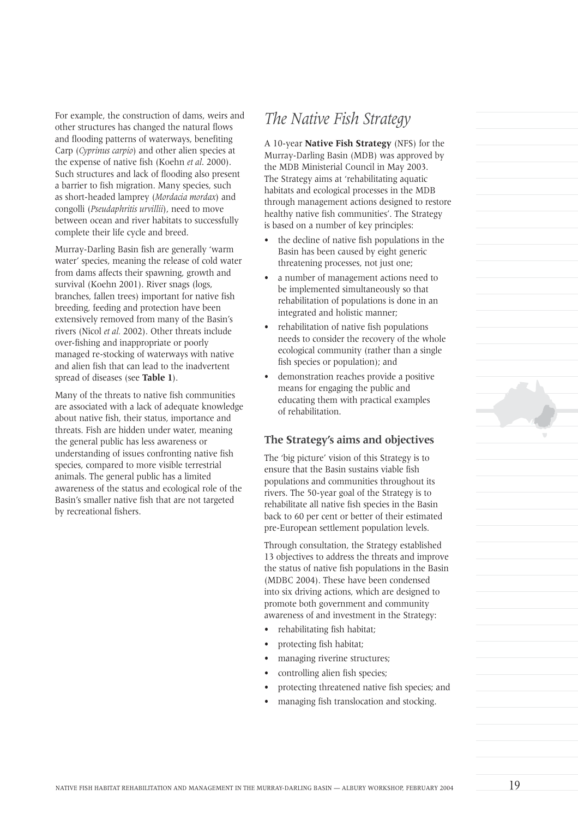For example, the construction of dams, weirs and other structures has changed the natural flows and flooding patterns of waterways, benefiting Carp (*Cyprinus carpio*) and other alien species at the expense of native fish (Koehn *et al*. 2000). Such structures and lack of flooding also present a barrier to fish migration. Many species, such as short-headed lamprey (*Mordacia mordax*) and congolli (*Pseudaphritis urvillii*), need to move between ocean and river habitats to successfully complete their life cycle and breed.

Murray-Darling Basin fish are generally 'warm water' species, meaning the release of cold water from dams affects their spawning, growth and survival (Koehn 2001). River snags (logs, branches, fallen trees) important for native fish breeding, feeding and protection have been extensively removed from many of the Basin's rivers (Nicol *et al.* 2002). Other threats include over-fishing and inappropriate or poorly managed re-stocking of waterways with native and alien fish that can lead to the inadvertent spread of diseases (see **Table 1**).

Many of the threats to native fish communities are associated with a lack of adequate knowledge about native fish, their status, importance and threats. Fish are hidden under water, meaning the general public has less awareness or understanding of issues confronting native fish species, compared to more visible terrestrial animals. The general public has a limited awareness of the status and ecological role of the Basin's smaller native fish that are not targeted by recreational fishers.

## *The Native Fish Strategy*

A 10-year **Native Fish Strategy** (NFS) for the Murray-Darling Basin (MDB) was approved by the MDB Ministerial Council in May 2003. The Strategy aims at 'rehabilitating aquatic habitats and ecological processes in the MDB through management actions designed to restore healthy native fish communities'. The Strategy is based on a number of key principles:

- the decline of native fish populations in the Basin has been caused by eight generic threatening processes, not just one;
- a number of management actions need to be implemented simultaneously so that rehabilitation of populations is done in an integrated and holistic manner;
- rehabilitation of native fish populations needs to consider the recovery of the whole ecological community (rather than a single fish species or population); and
- demonstration reaches provide a positive means for engaging the public and educating them with practical examples of rehabilitation.

### **The Strategy's aims and objectives**

The 'big picture' vision of this Strategy is to ensure that the Basin sustains viable fish populations and communities throughout its rivers. The 50-year goal of the Strategy is to rehabilitate all native fish species in the Basin back to 60 per cent or better of their estimated pre-European settlement population levels.

Through consultation, the Strategy established 13 objectives to address the threats and improve the status of native fish populations in the Basin (MDBC 2004). These have been condensed into six driving actions, which are designed to promote both government and community awareness of and investment in the Strategy:

- rehabilitating fish habitat;
- protecting fish habitat;
- managing riverine structures;
- controlling alien fish species;
- protecting threatened native fish species; and
- managing fish translocation and stocking.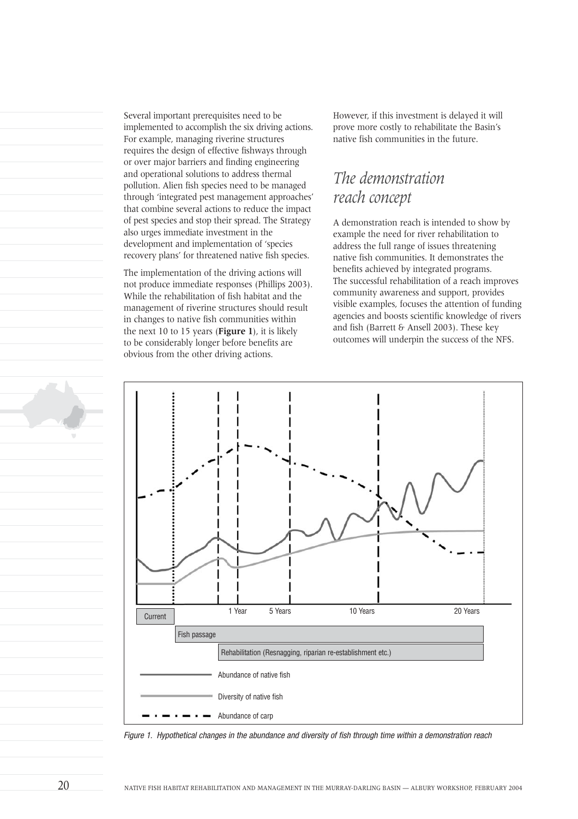Several important prerequisites need to be implemented to accomplish the six driving actions. For example, managing riverine structures requires the design of effective fishways through or over major barriers and finding engineering and operational solutions to address thermal pollution. Alien fish species need to be managed through 'integrated pest management approaches' that combine several actions to reduce the impact of pest species and stop their spread. The Strategy also urges immediate investment in the development and implementation of 'species recovery plans' for threatened native fish species.

The implementation of the driving actions will not produce immediate responses (Phillips 2003). While the rehabilitation of fish habitat and the management of riverine structures should result in changes to native fish communities within the next 10 to 15 years (**Figure 1**), it is likely to be considerably longer before benefits are obvious from the other driving actions.

However, if this investment is delayed it will prove more costly to rehabilitate the Basin's native fish communities in the future.

# *The demonstration reach concept*

A demonstration reach is intended to show by example the need for river rehabilitation to address the full range of issues threatening native fish communities. It demonstrates the benefits achieved by integrated programs. The successful rehabilitation of a reach improves community awareness and support, provides visible examples, focuses the attention of funding agencies and boosts scientific knowledge of rivers and fish (Barrett & Ansell 2003). These key outcomes will underpin the success of the NFS.



Figure 1. Hypothetical changes in the abundance and diversity of fish through time within a demonstration reach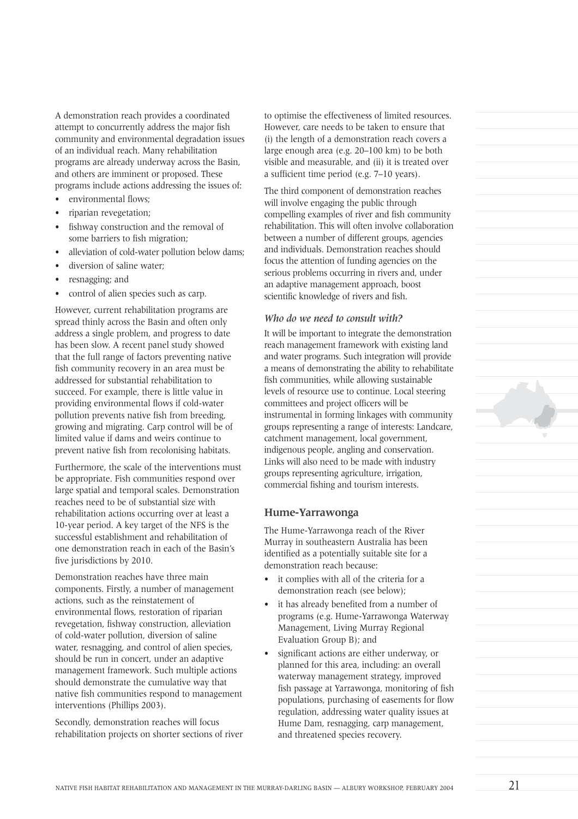A demonstration reach provides a coordinated attempt to concurrently address the major fish community and environmental degradation issues of an individual reach. Many rehabilitation programs are already underway across the Basin, and others are imminent or proposed. These programs include actions addressing the issues of:

- environmental flows;
- riparian revegetation;
- fishway construction and the removal of some barriers to fish migration;
- alleviation of cold-water pollution below dams;
- diversion of saline water;
- resnagging; and
- control of alien species such as carp.

However, current rehabilitation programs are spread thinly across the Basin and often only address a single problem, and progress to date has been slow. A recent panel study showed that the full range of factors preventing native fish community recovery in an area must be addressed for substantial rehabilitation to succeed. For example, there is little value in providing environmental flows if cold-water pollution prevents native fish from breeding, growing and migrating. Carp control will be of limited value if dams and weirs continue to prevent native fish from recolonising habitats.

Furthermore, the scale of the interventions must be appropriate. Fish communities respond over large spatial and temporal scales. Demonstration reaches need to be of substantial size with rehabilitation actions occurring over at least a 10-year period. A key target of the NFS is the successful establishment and rehabilitation of one demonstration reach in each of the Basin's five jurisdictions by 2010.

Demonstration reaches have three main components. Firstly, a number of management actions, such as the reinstatement of environmental flows, restoration of riparian revegetation, fishway construction, alleviation of cold-water pollution, diversion of saline water, resnagging, and control of alien species, should be run in concert, under an adaptive management framework. Such multiple actions should demonstrate the cumulative way that native fish communities respond to management interventions (Phillips 2003).

Secondly, demonstration reaches will focus rehabilitation projects on shorter sections of river to optimise the effectiveness of limited resources. However, care needs to be taken to ensure that (i) the length of a demonstration reach covers a large enough area (e.g. 20–100 km) to be both visible and measurable, and (ii) it is treated over a sufficient time period (e.g. 7–10 years).

The third component of demonstration reaches will involve engaging the public through compelling examples of river and fish community rehabilitation. This will often involve collaboration between a number of different groups, agencies and individuals. Demonstration reaches should focus the attention of funding agencies on the serious problems occurring in rivers and, under an adaptive management approach, boost scientific knowledge of rivers and fish.

#### *Who do we need to consult with?*

It will be important to integrate the demonstration reach management framework with existing land and water programs. Such integration will provide a means of demonstrating the ability to rehabilitate fish communities, while allowing sustainable levels of resource use to continue. Local steering committees and project officers will be instrumental in forming linkages with community groups representing a range of interests: Landcare, catchment management, local government, indigenous people, angling and conservation. Links will also need to be made with industry groups representing agriculture, irrigation, commercial fishing and tourism interests.

#### **Hume-Yarrawonga**

The Hume-Yarrawonga reach of the River Murray in southeastern Australia has been identified as a potentially suitable site for a demonstration reach because:

- it complies with all of the criteria for a demonstration reach (see below);
- it has already benefited from a number of programs (e.g. Hume-Yarrawonga Waterway Management, Living Murray Regional Evaluation Group B); and
- significant actions are either underway, or planned for this area, including: an overall waterway management strategy, improved fish passage at Yarrawonga, monitoring of fish populations, purchasing of easements for flow regulation, addressing water quality issues at Hume Dam, resnagging, carp management, and threatened species recovery.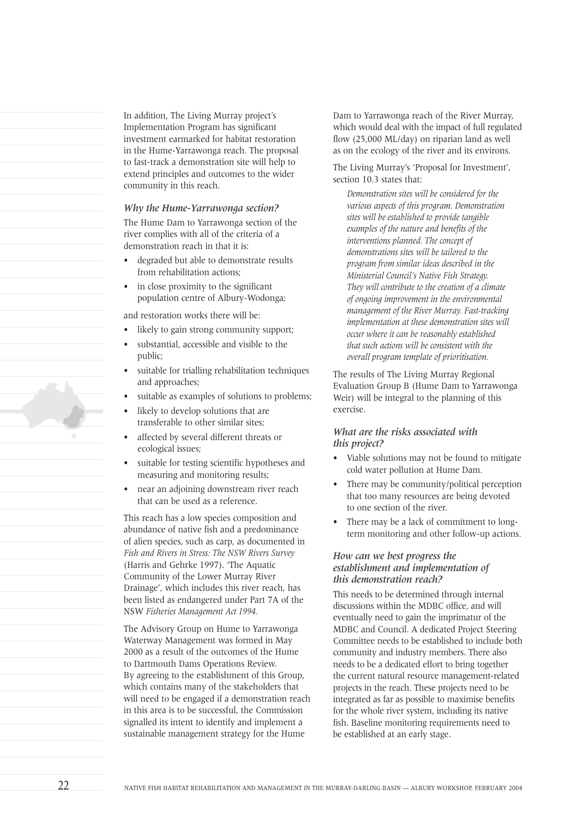In addition, The Living Murray project's Implementation Program has significant investment earmarked for habitat restoration in the Hume-Yarrawonga reach. The proposal to fast-track a demonstration site will help to extend principles and outcomes to the wider community in this reach.

#### *Why the Hume-Yarrawonga section?*

The Hume Dam to Yarrawonga section of the river complies with all of the criteria of a demonstration reach in that it is:

- degraded but able to demonstrate results from rehabilitation actions;
- in close proximity to the significant population centre of Albury-Wodonga;

and restoration works there will be:

- likely to gain strong community support;
- substantial, accessible and visible to the public;
- suitable for trialling rehabilitation techniques and approaches;
- suitable as examples of solutions to problems;
- likely to develop solutions that are transferable to other similar sites;
- affected by several different threats or ecological issues;
- suitable for testing scientific hypotheses and measuring and monitoring results;
- near an adjoining downstream river reach that can be used as a reference.

This reach has a low species composition and abundance of native fish and a predominance of alien species, such as carp, as documented in *Fish and Rivers in Stress: The NSW Rivers Survey* (Harris and Gehrke 1997). 'The Aquatic Community of the Lower Murray River Drainage', which includes this river reach, has been listed as endangered under Part 7A of the NSW *Fisheries Management Act 1994.*

The Advisory Group on Hume to Yarrawonga Waterway Management was formed in May 2000 as a result of the outcomes of the Hume to Dartmouth Dams Operations Review. By agreeing to the establishment of this Group, which contains many of the stakeholders that will need to be engaged if a demonstration reach in this area is to be successful, the Commission signalled its intent to identify and implement a sustainable management strategy for the Hume

Dam to Yarrawonga reach of the River Murray, which would deal with the impact of full regulated flow (25,000 ML/day) on riparian land as well as on the ecology of the river and its environs.

The Living Murray's 'Proposal for Investment', section 10.3 states that:

*Demonstration sites will be considered for the various aspects of this program. Demonstration sites will be established to provide tangible examples of the nature and benefits of the interventions planned. The concept of demonstrations sites will be tailored to the program from similar ideas described in the Ministerial Council's Native Fish Strategy. They will contribute to the creation of a climate of ongoing improvement in the environmental management of the River Murray. Fast-tracking implementation at these demonstration sites will occur where it can be reasonably established that such actions will be consistent with the overall program template of prioritisation.*

The results of The Living Murray Regional Evaluation Group B (Hume Dam to Yarrawonga Weir) will be integral to the planning of this exercise.

#### *What are the risks associated with this project?*

- Viable solutions may not be found to mitigate cold water pollution at Hume Dam.
- There may be community/political perception that too many resources are being devoted to one section of the river.
- There may be a lack of commitment to longterm monitoring and other follow-up actions.

#### *How can we best progress the establishment and implementation of this demonstration reach?*

This needs to be determined through internal discussions within the MDBC office, and will eventually need to gain the imprimatur of the MDBC and Council. A dedicated Project Steering Committee needs to be established to include both community and industry members. There also needs to be a dedicated effort to bring together the current natural resource management-related projects in the reach. These projects need to be integrated as far as possible to maximise benefits for the whole river system, including its native fish. Baseline monitoring requirements need to be established at an early stage.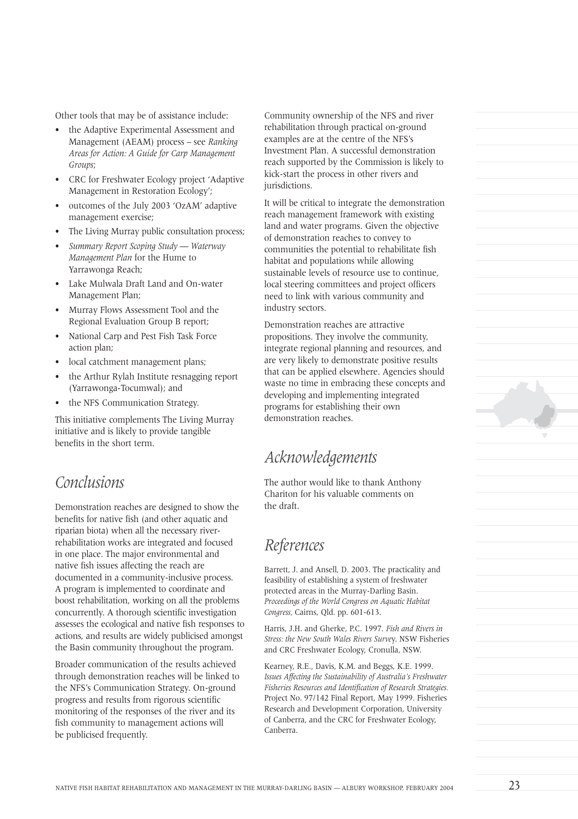Other tools that may be of assistance include:

- the Adaptive Experimental Assessment and Management (AEAM) process – see *Ranking Areas for Action: A Guide for Carp Management Groups*;
- CRC for Freshwater Ecology project 'Adaptive Management in Restoration Ecology';
- outcomes of the July 2003 'OzAM' adaptive management exercise;
- The Living Murray public consultation process:
- *Summary Report Scoping Study Waterway Management Plan* for the Hume to Yarrawonga Reach;
- Lake Mulwala Draft Land and On-water Management Plan;
- Murray Flows Assessment Tool and the Regional Evaluation Group B report;
- National Carp and Pest Fish Task Force action plan;
- local catchment management plans;
- the Arthur Rylah Institute resnagging report (Yarrawonga-Tocumwal); and
- the NFS Communication Strategy.

This initiative complements The Living Murray initiative and is likely to provide tangible benefits in the short term.

## *Conclusions*

Demonstration reaches are designed to show the benefits for native fish (and other aquatic and riparian biota) when all the necessary riverrehabilitation works are integrated and focused in one place. The major environmental and native fish issues affecting the reach are documented in a community-inclusive process. A program is implemented to coordinate and boost rehabilitation, working on all the problems concurrently. A thorough scientific investigation assesses the ecological and native fish responses to actions, and results are widely publicised amongst the Basin community throughout the program.

Broader communication of the results achieved through demonstration reaches will be linked to the NFS's Communication Strategy. On-ground progress and results from rigorous scientific monitoring of the responses of the river and its fish community to management actions will be publicised frequently.

Community ownership of the NFS and river rehabilitation through practical on-ground examples are at the centre of the NFS's Investment Plan. A successful demonstration reach supported by the Commission is likely to kick-start the process in other rivers and jurisdictions.

It will be critical to integrate the demonstration reach management framework with existing land and water programs. Given the objective of demonstration reaches to convey to communities the potential to rehabilitate fish habitat and populations while allowing sustainable levels of resource use to continue, local steering committees and project officers need to link with various community and industry sectors.

Demonstration reaches are attractive propositions. They involve the community, integrate regional planning and resources, and are very likely to demonstrate positive results that can be applied elsewhere. Agencies should waste no time in embracing these concepts and developing and implementing integrated programs for establishing their own demonstration reaches.

## *Acknowledgements*

The author would like to thank Anthony Chariton for his valuable comments on the draft.

### *References*

Barrett, J. and Ansell, D. 2003. The practicality and feasibility of establishing a system of freshwater protected areas in the Murray-Darling Basin. *Proceedings of the World Congress on Aquatic Habitat Congress,* Cairns, Qld. pp. 601-613.

Harris, J.H. and Gherke, P.C. 1997. *Fish and Rivers in Stress: the New South Wales Rivers Surve*y. NSW Fisheries and CRC Freshwater Ecology, Cronulla, NSW.

Kearney, R.E., Davis, K.M. and Beggs, K.E. 1999. *Issues Affecting the Sustainability of Australia's Freshwater Fisheries Resources and Identification of Research Strategies.* Project No. 97/142 Final Report, May 1999. Fisheries Research and Development Corporation, University of Canberra, and the CRC for Freshwater Ecology, Canberra.